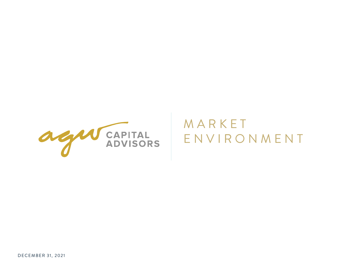

# **MARKET** E N V I R O N M E N T

DEC EM BER 31, 2021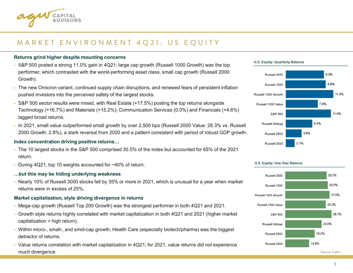

### MARKET ENVIRONMENT 4Q21: US EQUITY

### **Returns grind higher despite mounting concerns**

- S&P 500 posted a strong 11.0% gain in 4Q21; large cap growth (Russell 1000 Growth) was the top performer, which contrasted with the worst-performing asset class, small cap growth (Russell 2000 Growth).
- The new Omicron variant, continued supply chain disruptions, and renewed fears of persistent inflation pushed investors into the perceived safety of the largest stocks.
- S&P 500 sector results were mixed, with Real Estate (+17.5%) posting the top returns alongside Technology (+16.7%) and Materials (+15.2%); Communication Services (0.0%) and Financials (+4.6%) lagged broad returns.
- In 2021, small value outperformed small growth by over 2,500 bps (Russell 2000 Value: 28.3% vs. Russell 2000 Growth: 2.8%), a stark reversal from 2020 and a pattern consistent with period of robust GDP growth.

### **Index concentration driving positive returns…**

- The 10 largest stocks in the S&P 500 comprised 30.5% of the index but accounted for 65% of the 2021 return.
- During 4Q21, top 10 weights accounted for ~40% of return.

### **…but this may be hiding underlying weakness**

– Nearly 10% of Russell 3000 stocks fell by 35% or more in 2021, which is unusual for a year when market returns were in excess of 25%.

### **Market capitalization, style driving divergence in returns**

- Mega-cap growth (Russell Top 200 Growth) was the strongest performer in both 4Q21 and 2021.
- Growth style returns highly correlated with market capitalization in both 4Q21 and 2021 (higher market capitalization = high return).
- Within micro-, small-, and smid-cap growth, Health Care (especially biotech/pharma) was the biggest detractor of returns.
- Value returns correlation with market capitalization in 4Q21; for 2021, value returns did not experience much divergence.





### U.S. Equity: Quarterly Returns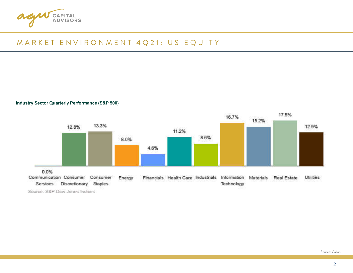

### MARKET ENVIRONMENT 4Q21: US EQUITY

**Industry Sector Quarterly Performance (S&P 500)** 



Source: S&P Dow Jones Indices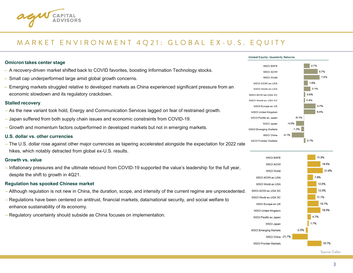

**Stalled recovery**

**Growth vs. value**

### MARKET ENVIRONMENT 4Q21: GLOBAL EX-U.S. EQUITY

#### **Omicron takes center stage**  MSCLEAFE  $2.7%$ – A recovery-driven market shifted back to COVID favorites, boosting Information Technology stocks. **MSCI ACWI** MSCI World – Small cap underperformed large amid global growth concerns. 1.8% MSCI ACWLex USA – Emerging markets struggled relative to developed markets as China experienced significant pressure from an 3.1% MSCI World ex USA economic slowdown and its regulatory crackdown. 0.6% MSCI ACWI ex USA SC  $0.4%$ MSCI World ex USA SC 5.7% MSCI Europe ex UK – As the new variant took hold, Energy and Communication Services lagged on fear of restrained growth. 5.6% **MSCI United Kingdom** MSCI Pacific ex Japan  $-0.1%$ – Japan suffered from both supply chain issues and economic constraints from COVID-19. MSCI Japan  $-4.0%$ – Growth and momentum factors outperformed in developed markets but not in emerging markets. **MSCI Emerging Markets**  $-1.3%$ MSCLChina **U.S. dollar vs. other currencies**  0.7% **MSCI Frontier Markets** – The U.S. dollar rose against other major currencies as tapering accelerated alongside the expectation for 2022 rate hikes, which notably detracted from global ex-U.S. results. 11.3% MSCLEAFE **MSCI ACWI** – Inflationary pressures and the ultimate rebound from COVID-19 supported the value's leadership for the full year, MSCI World despite the shift to growth in 4Q21. 7.8% MSCI ACWI ex USA **Regulation has spooked Chinese market** 12.6% MSCI World ex USA 12.9% – Although regulation is not new in China, the duration, scope, and intensity of the current regime are unprecedented. MSCI ACWI ex USA SC 11.1% MSCI World ex USA SC – Regulations have been centered on antitrust, financial markets, data/national security, and social welfare to MSCI Europe ex UK enhance sustainability of its economy. **MSCI United Kingdom** – Regulatory uncertainty should subside as China focuses on implementation. 4.7% MSCI Pacific ex Japan 1.7% MSCI Japan **MSCI Emerging Markets**  $-2.5%$ MSCI China -21.7% **MSCI Frontier Markets**

Source: Callan

19.7%

6.7%

7,8%

18.5%

15.7%

18.5%

21.8%

**Global Equity: Quarterly Returns**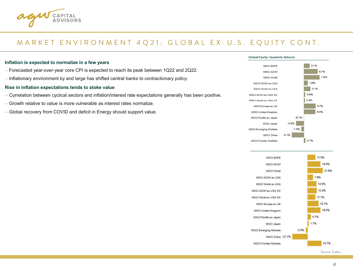

### M A R K E T E N V I R O N M E N T 4 Q 21: G L O B A L E X - U . S . E Q U I T Y C O N T .

#### **Inflation is expected to normalize in a few years**

- Forecasted year-over-year core CPI is expected to reach its peak between 1Q22 and 2Q22.
- Inflationary environment by and large has shifted central banks to contractionary policy.

#### **Rise in inflation expectations tends to stoke value**

- Correlation between cyclical sectors and inflation/interest rate expectations generally has been positive.
- Growth relative to value is more vulnerable as interest rates normalize.
- Global recovery from COVID and deficit in Energy should support value.

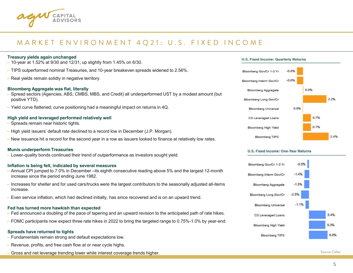

### MARKET ENVIRONMENT 4Q21: U.S. FIXED INCOME

### **Treasury yields again unchanged**  $-$  10-year at 1.52% at 9/30 and 12/31, up slightly from 1.45% on 6/30. – TIPS outperformed nominal Treasuries, and 10-year breakeven spreads widened to 2.56%. – Real yields remain solidly in negative territory. **Bloomberg Aggregate was flat, literally** – Spread sectors (Agencies, ABS, CMBS, MBS, and Credit) all underperformed UST by a modest amount (but positive YTD). – Yield curve flattened; curve positioning had a meaningful impact on returns in 4Q. **High yield and leveraged performed relatively well** – Spreads remain near historic tights. – High yield issuers' default rate declined to a record low in December (J.P. Morgan). – New issuance hit a record for the second year in a row as issuers looked to finance at relatively low rates. **Munis underperform Treasuries** – Lower-quality bonds continued their trend of outperformance as investors sought yield. **Inflation is being felt, indicated by several measures**  – Annual CPI jumped to 7.0% in December –its eighth consecutive reading above 5% and the largest 12-month increase since the period ending June 1982. – Increases for shelter and for used cars/trucks were the largest contributors to the seasonally adjusted all-items increase. – Even service inflation, which had declined initially, has since recovered and is on an upward trend.

#### **Fed has turned more hawkish than expected**

- Fed announced a doubling of the pace of tapering and an upward revision to the anticipated path of rate hikes.
- FOMC participants now expect three rate hikes in 2022 to bring the targeted range to 0.75%-1.0% by year-end.

### **Spreads have returned to tights**

- Fundamentals remain strong and default expectations low.
- Revenue, profits, and free cash flow at or near cycle highs.
- Gross and net leverage trending lower while interest coverage trends higher. Source: Callan





#### U.S. Fixed Income: One-Year Returns

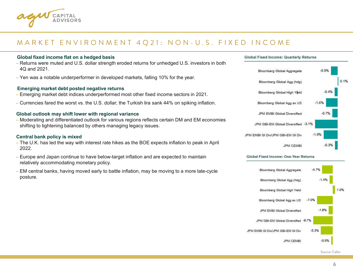

### MARKET ENVIRONMENT 4Q21: NON-U.S. FIXED INCOME

### **Global fixed income flat on a hedged basis**

- Returns were muted and U.S. dollar strength eroded returns for unhedged U.S. investors in both 4Q and 2021.
- Yen was a notable underperformer in developed markets, falling 10% for the year.

### **Emerging market debt posted negative returns**

- Emerging market debt indices underperformed most other fixed income sectors in 2021.
- Currencies fared the worst vs. the U.S. dollar; the Turkish lira sank 44% on spiking inflation.

### **Global outlook may shift lower with regional variance**

– Moderating and differentiated outlook for various regions reflects certain DM and EM economies shifting to tightening balanced by others managing legacy issues.

### **Central bank policy is mixed**

- The U.K. has led the way with interest rate hikes as the BOE expects inflation to peak in April 2022.
- Europe and Japan continue to have below-target inflation and are expected to maintain relatively accommodating monetary policy.
- EM central banks, having moved early to battle inflation, may be moving to a more late-cycle posture.





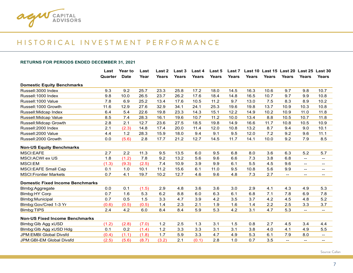

### H I S T O R I C A L I N V E S T M E N T P E R F O R M A N C E

#### **RETURNS FOR PERIODS ENDED DECEMBER 31, 2021**

|                                         | Last    | Year to     | Last  | Last 2       | Last 3       | Last 4       | Last 5       | Last 7       |              |              | Last 10 Last 15 Last 20  |                                                | Last 25 Last 30          |
|-----------------------------------------|---------|-------------|-------|--------------|--------------|--------------|--------------|--------------|--------------|--------------|--------------------------|------------------------------------------------|--------------------------|
|                                         | Quarter | <b>Date</b> | Year  | <b>Years</b> | <b>Years</b> | <b>Years</b> | <b>Years</b> | <b>Years</b> | <b>Years</b> | <b>Years</b> | <b>Years</b>             | <b>Years</b>                                   | <b>Years</b>             |
| <b>Domestic Equity Benchmarks</b>       |         |             |       |              |              |              |              |              |              |              |                          |                                                |                          |
| Russell: 3000 Index                     | 9.3     | 9.2         | 25.7  | 23.3         | 25.8         | 17.2         | 18.0         | 14.5         | 16.3         | 10.6         | 9.7                      | 9.8                                            | 10.7                     |
| Russell: 1000 Index                     | 9.8     | 10.0        | 26.5  | 23.7         | 26.2         | 17.6         | 18.4         | 14.8         | 16.5         | 10.7         | 9.7                      | 9.9                                            | 10.8                     |
| Russell: 1000 Value                     | 7.8     | 6.9         | 25.2  | 13.4         | 17.6         | 10.5         | 11.2         | 9.7          | 13.0         | 7.5          | 8.3                      | 8.9                                            | 10.2                     |
| Russell:1000 Growth                     | 11.6    | 12.9        | 27.6  | 32.9         | 34.1         | 24.1         | 25.3         | 19.6         | 19.8         | 13.7         | 10.9                     | 10.3                                           | 10.8                     |
| Russell: Midcap Index                   | 6.4     | 5.4         | 22.6  | 19.8         | 23.3         | 14.3         | 15.1         | 12.2         | 14.9         | 10.2         | 10.9                     | 11.0                                           | 11.8                     |
| Russell: Midcap Value                   | 8.5     | 7.4         | 28.3  | 16.1         | 19.6         | 10.7         | 11.2         | 10.0         | 13.4         | 8.8          | 10.5                     | 10.7                                           | 11.8                     |
| Russell: Midcap Growth                  | 2.8     | 2.1         | 12.7  | 23.6         | 27.5         | 18.5         | 19.8         | 14.9         | 16.6         | 11.7         | 10.8                     | 10.5                                           | 10.9                     |
| Russell: 2000 Index                     | 2.1     | (2.3)       | 14.8  | 17.4         | 20.0         | 11.4         | 12.0         | 10.8         | 13.2         | 8.7          | 9.4                      | 9.0                                            | 10.1                     |
| Russell: 2000 Value                     | 4.4     | 1.2         | 28.3  | 15.9         | 18.0         | 9.4          | 9.1          | 9.5          | 12.0         | 7.2          | 9.2                      | 9.6                                            | 11.1                     |
| Russell: 2000 Growth                    | 0.0     | (5.6)       | 2.8   | 17.7         | 21.2         | 12.7         | 14.5         | 11.7         | 14.1         | 10.0         | 9.2                      | 7.9                                            | 8.5                      |
| <b>Non-US Equity Benchmarks</b>         |         |             |       |              |              |              |              |              |              |              |                          |                                                |                          |
| <b>MSCI:EAFE</b>                        | 2.7     | 2.2         | 11.3  | 9.5          | 13.5         | 6.0          | 9.5          | 6.8          | 8.0          | 3.6          | 6.3                      | 5.2                                            | 5.7                      |
| <b>MSCI:ACWI ex US</b>                  | 1.8     | (1.2)       | 7.8   | 9.2          | 13.2         | 5.6          | 9.6          | 6.6          | 7.3          | 3.8          | 6.8                      | $\overline{\phantom{a}}$                       | --                       |
| MSCI:EM                                 | (1.3)   | (9.3)       | (2.5) | 7.4          | 10.9         | 3.9          | 9.9          | 6.1          | 5.5          | 4.5          | 9.6                      | $\overline{\phantom{a}}$                       | $\overline{\phantom{a}}$ |
| <b>MSCI:EAFE Small Cap</b>              | 0.1     | 1.0         | 10.1  | 11.2         | 15.6         | 6.1          | 11.0         | 9.5          | 10.8         | 5.6          | 9.9                      | $\sim$                                         | $\overline{\phantom{a}}$ |
| <b>MSCI: Frontier Markets</b>           | 0.7     | 4.1         | 19.7  | 10.2         | 12.7         | 4.6          | 9.6          | 4.8          | 7.3          | 2.7          | $\overline{\phantom{a}}$ | $\hspace{0.1mm}-\hspace{0.1mm}-\hspace{0.1mm}$ | $\overline{\phantom{a}}$ |
| <b>Domestic Fixed Income Benchmarks</b> |         |             |       |              |              |              |              |              |              |              |                          |                                                |                          |
| Blmbg:Aggregate                         | 0.0     | 0.1         | (1.5) | 2.9          | 4.8          | 3.6          | 3.6          | 3.0          | 2.9          | 4.1          | 4.3                      | 4.9                                            | 5.3                      |
| <b>Blmbg:HY Corp</b>                    | 0.7     | 1.6         | 5.3   | 6.2          | 8.8          | 6.0          | 6.3          | 6.1          | 6.8          | 7.1          | 7.8                      | 6.9                                            | 7.8                      |
| Blmbg: Municipal                        | 0.7     | 0.5         | 1.5   | 3.3          | 4.7          | 3.9          | 4.2          | 3.5          | 3.7          | 4.2          | 4.5                      | 4.8                                            | 5.2                      |
| Blmbg:Gov/Cred 1-3 Yr                   | (0.6)   | (0.5)       | (0.5) | 1.4          | 2.3          | 2.1          | 1.9          | 1.6          | 1.4          | 2.2          | 2.5                      | 3.3                                            | 3.7                      |
| Blmbg:TIPS                              | 2.4     | 4.2         | 6.0   | 8.4          | 8.4          | 5.9          | 5.3          | 4.2          | 3.1          | 4.7          | 5.3                      | $\mathbf{u}$                                   | $\overline{\phantom{a}}$ |
| <b>Non-US Fixed Income Benchmarks</b>   |         |             |       |              |              |              |              |              |              |              |                          |                                                |                          |
| Blmbg: Glb Agg xUSD                     | (1.2)   | (2.8)       | (7.0) | 1.2          | 2.5          | 1.3          | 3.1          | 1.5          | 0.8          | 2.7          | 4.5                      | 3.4                                            | 4.4                      |
| Blmbg: Glb Agg xUSD Hdg                 | 0.1     | 0.2         | (1.4) | 1.2          | 3.3          | 3.3          | 3.1          | 3.1          | 3.8          | 4.0          | 4.1                      | 4.9                                            | 5.5                      |
| JPM:EMBI Global Divsfd                  | (0.4)   | (1.1)       | (1.8) | 1.7          | 5.9          | 3.3          | 4.7          | 4.9          | 5.3          | 6.1          | 7.9                      | 8.0                                            | $\qquad \qquad -$        |
| JPM:GBI-EM Global Divsfd                | (2.5)   | (5.6)       | (8.7) | (3.2)        | 2.1          | (0.1)        | 2.8          | 1.0          | 0.7          | 3.5          | $\qquad \qquad -$        | $\hspace{0.1mm}-\hspace{0.1mm}-\hspace{0.1mm}$ | $- -$                    |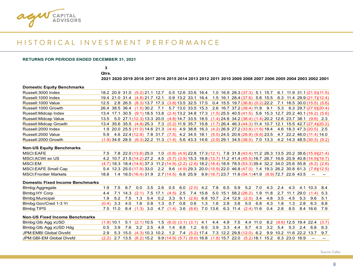

## H I S T O R I C A L I N V E S T M E N T P E R F O R M A N C E

#### **RETURNS FOR PERIODS ENDED DECEMBER 31, 2021**

**Qtrs. 3**

2021 2020 2019 2018 2017 2016 2015 2014 2013 2012 2011 2010 2009 2008 2007 2006 2005 2004 2003 2002 2001

#### **Domestic Equity Benchmarks**

| Russell:3000 Index     |  | 18.2 20.9 31.0 (5.2) 21.1 12.7 0.5 12.6 33.6 16.4 1.0 16.9 28.3 (37.3) 5.1 15.7 6.1 11.9 31.1 (21.5) (11.5)                  |  |  |  |  |  |  |  |  |
|------------------------|--|------------------------------------------------------------------------------------------------------------------------------|--|--|--|--|--|--|--|--|
| Russell:1000 Index     |  | 19.4 21.0 31.4 (4.8) 21.7 12.1 0.9 13.2 33.1 16.4 1.5 16.1 28.4 (37.6) 5.8 15.5 6.3 11.4 29.9 (21.7) (12.4)                  |  |  |  |  |  |  |  |  |
| Russell: 1000 Value    |  | 12.5 2.8 26.5 (8.3) 13.7 17.3 (3.8) 13.5 32.5 17.5 0.4 15.5 19.7 (36.8) (0.2) 22.2 7.1 16.5 30.0 (15.5) (5.6)                |  |  |  |  |  |  |  |  |
| Russell: 1000 Growth   |  | 26.4 38.5 36.4 (1.5) 30.2 7.1 5.7 13.0 33.5 15.3 2.6 16.7 37.2 (38.4) 11.8 9.1 5.3 6.3 29.7 (27.9)(20.4)                     |  |  |  |  |  |  |  |  |
| Russell: Midcap Index  |  | 13.4 17.1 30.5 (9.1) 18.5 13.8 (2.4) 13.2 34.8 17.3 (1.5) 25.5 40.5 (41.5) 5.6 15.3 12.7 20.2 40.1 (16.2) (5.6)              |  |  |  |  |  |  |  |  |
| Russell: Midcap Value  |  | 13.5 5.0 27.1 (12.3) 13.3 20.0 (4.8) 14.7 33.5 18.5 (1.4) 24.8 34.2 (38.4) (1.4) 20.2 12.6 23.7 38.1 (9.6) 2.3               |  |  |  |  |  |  |  |  |
| Russell: Midcap Growth |  | 13.4 35.6 35.5 (4.8) 25.3 7.3 (0.2) 11.9 35.7 15.8 (1.7) 26.4 46.3 (44.3) 11.4 10.7 12.1 15.5 42.7 (27.4) (20.2)             |  |  |  |  |  |  |  |  |
| Russell: 2000 Index    |  | 1.9 20.0 25.5 (11.0) 14.6 21.3 (4.4) 4.9 38.8 16.3 (4.2) 26.9 27.2 (33.8) (1.6) 18.4 4.6 18.3 47.3 (20.5) 2.5                |  |  |  |  |  |  |  |  |
| Russell: 2000 Value    |  | 5.9 4.6 22.4 (12.9) 7.8 31.7 (7.5) 4.2 34.5 18.1 (5.5) 24.5 20.6 (28.9) (9.8) 23.5 4.7 22.2 46.0 (11.4) 14.0                 |  |  |  |  |  |  |  |  |
| Russell: 2000 Growth   |  | $(1.9)$ 34.6 28.5 $(9.3)$ 22.2 11.3 $(1.4)$ 5.6 43.3 14.6 $(2.9)$ 29.1 34.5 $(38.5)$ 7.0 13.3 4.2 14.3 48.5 $(30.3)$ $(9.2)$ |  |  |  |  |  |  |  |  |

#### **Non-US Equity Benchmarks**

| MSCI:EAFE                    |  | 7.5 7.8 22.0 (13.8) 25.0 1.0 (0.8) (4.9) 22.8 17.3 (12.1) 7.8 31.8 (43.4) 11.2 26.3 13.5 20.2 38.6 (15.9) (21.4)                        |  |  |  |  |  |  |  |
|------------------------------|--|-----------------------------------------------------------------------------------------------------------------------------------------|--|--|--|--|--|--|--|
| MSCI:ACWI ex US              |  | 4.2 10.7 21.5 (14.2) 27.2 4.5 (5.7) (3.9) 15.3 16.8 (13.7) 11.2 41.4 (45.5) 16.7 26.7 16.6 20.9 40.8 (14.9) (19.7)                      |  |  |  |  |  |  |  |
| MSCI:EM                      |  | $(4.7)$ 18.3 18.4 $(14.6)$ 37.3 11.2 $(14.9)$ $(2.2)$ $(2.6)$ 18.2 $(18.4)$ 18.9 78.5 $(53.3)$ 39.4 32.2 34.0 25.6 55.8 $(6.2)$ $(2.6)$ |  |  |  |  |  |  |  |
| MSCI:EAFE Small Cap          |  | 5.4 12.3 25.0 (17.9) 33.0 2.2 9.6 (4.9) 29.3 20.0 (15.9) 22.0 46.8 (47.0) 1.4 19.3 26.2 30.8 61.3 (7.8) (12.5)                          |  |  |  |  |  |  |  |
| <b>MSCI:Frontier Markets</b> |  | $18.8$ 1.4 $18.0(16.4)31.9$ 2.7 $(14.5)$ 6.8 25.9 $8.9(18.7)23.7$ 11.6 $(54.1)41.9$ $(8.9)72.7$ 22.6 43.5 -                             |  |  |  |  |  |  |  |

#### **Domestic Fixed Income Benchmarks**

| Blmbg:Aggregate       |  |  |  |  |  |  | 1.9 7.5 8.7 0.0 3.5 2.6 0.5 6.0 (2.0) 4.2 7.8 6.5 5.9 5.2 7.0 4.3 2.4 4.3 4.1 10.3 8.4               |  |  |  |  |
|-----------------------|--|--|--|--|--|--|------------------------------------------------------------------------------------------------------|--|--|--|--|
| Blmbg:HY Corp         |  |  |  |  |  |  | 4.4 7.1 14.3 (2.1) 7.5 17.1 (4.5) 2.5 7.4 15.8 5.0 15.1 58.2 (26.2) 1.9 11.8 2.7 11.1 29.0 (1.4) 5.3 |  |  |  |  |
| Blmbg:Municipal       |  |  |  |  |  |  | 1.9 5.2 7.5 1.3 5.4 0.2 3.3 9.1 (2.6) 6.8 10.7 2.4 12.9 (2.5) 3.4 4.8 3.5 4.5 5.3 9.6 5.1            |  |  |  |  |
| Blmbg:Gov/Cred 1-3 Yr |  |  |  |  |  |  | (0.4) 3.3 4.0 1.6 0.8 1.3 0.7 0.8 0.6 1.3 1.6 2.8 3.8 5.0 6.8 4.3 1.8 1.3 2.8 6.3 8.8                |  |  |  |  |
| Blmbg:TIPS            |  |  |  |  |  |  | 7.5 11.0 8.4 (1.3) 3.0 4.7 (1.4) 3.6 (8.6) 7.0 13.6 6.3 11.4 (2.4) 11.6 0.4 2.8 8.5 8.4 16.6 7.9     |  |  |  |  |

#### **Non-US Fixed Income Benchmarks**

| Blmbg:Glb Agg xUSD       |  |  | $(1.9)$ 10.1 5.1 $(2.1)$ 10.5 1.5 $(6.0)$ $(3.1)$ $(3.1)$ 4.1 4.4 4.9 7.5 4.4 11.0 8.2 $(8.6)$ 12.5 19.4 22.4 $(3.7)$   |  |  |  |  |  |  |  |  |
|--------------------------|--|--|-------------------------------------------------------------------------------------------------------------------------|--|--|--|--|--|--|--|--|
| Blmbg:Glb Agg xUSD Hdg   |  |  | 0.5 3.9 7.6 3.2 2.5 4.9 1.4 8.8 1.2 6.5 3.9 3.3 4.4 5.7 4.3 3.2 5.4 5.3 2.4 6.8 6.3                                     |  |  |  |  |  |  |  |  |
| JPM:EMBI Global Divsfd   |  |  | 2.9 5.3 15.0 (4.3) 10.3 10.2 1.2 7.4 (5.2) 17.4 7.3 12.2 29.8 (12.0) 6.2 9.9 10.2 11.6 22.2 13.7 9.7                    |  |  |  |  |  |  |  |  |
| JPM:GBI-EM Global Divsfd |  |  | $(2.2)$ 2.7 13.5 $(6.2)$ 15.2 $(9.9)$ $(14.9)$ $(5.7)$ $(9.0)$ 16.8 $(1.8)$ 15.7 22.0 $(5.2)$ 18.1 15.2 6.3 23.0 16.9 - |  |  |  |  |  |  |  |  |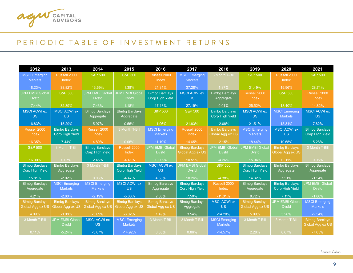

### PERIODIC TABLE OF INVESTMENT RETURNS

| 2012                   | 2013                   | 2014                    | 2015                   | 2016                    | 2017                   | 2018                   | 2019                   | 2020                   | 2021                   |
|------------------------|------------------------|-------------------------|------------------------|-------------------------|------------------------|------------------------|------------------------|------------------------|------------------------|
| <b>MSCI Emerging</b>   | Russell 2000           | <b>S&amp;P 500</b>      | <b>S&amp;P 500</b>     | Russell 2000            | <b>MSCI Emerging</b>   | 3 Month T-Bill         | <b>S&amp;P 500</b>     | Russell 2000           | <b>S&amp;P 500</b>     |
| <b>Markets</b>         | Index                  |                         |                        | Index                   | <b>Markets</b>         |                        |                        | Index                  |                        |
| 18.23%                 | 38.82%                 | 13.69%                  | 1.38%                  | 21.31%                  | 37.28%                 | 1.87%                  | 31.49%                 | 19.96%                 | 28.71%                 |
| <b>JPM EMBI Global</b> | <b>S&amp;P 500</b>     | <b>JPM EMBI Global</b>  | <b>JPM EMBI Global</b> | <b>Blmbg Barclays</b>   | <b>MSCI ACWI ex</b>    | <b>Blmbg Barclays</b>  | Russell 2000           | <b>S&amp;P 500</b>     | Russell 2000           |
| <b>D</b> vsfd          |                        | <b>D</b> vsfd           | <b>D</b> vsfd          | <b>Corp High Yield</b>  | <b>US</b>              | Aggregate              | Index                  |                        | Index                  |
| 17.44%                 | 32.39%                 | 7.43%                   | 1.18%                  | 17.13%                  | 27.19%                 | 0.01%                  | 25.52%                 | 18.40%                 | 14.82%                 |
| <b>MSCI ACWI ex</b>    | <b>MSCI ACWI ex</b>    | <b>Blmbg Barclays</b>   | <b>Blmbg Barclays</b>  | <b>S&amp;P 500</b>      | <b>S&amp;P 500</b>     | <b>Blmbg Barclays</b>  | <b>MSCI ACWI ex</b>    | <b>MSCI Emerging</b>   | <b>MSCI ACWI ex</b>    |
| <b>US</b>              | <b>US</b>              | Aggregate               | Aggregate              |                         |                        | Corp High Yield        | <b>US</b>              | <b>Markets</b>         | <b>US</b>              |
| 16.83%                 | 15.29%                 | 5.97%                   | 0.55%                  | 11.96%                  | 21.83%                 | $-2.08%$               | 21.51%                 | 18.31%                 | 7.82%                  |
| Russell 2000           | <b>Blmbg Barclays</b>  | Russell 2000            | 3 Month T-Bill         | <b>MSCI Emerging</b>    | Russell 2000           | <b>Blmbg Barclays</b>  | <b>MSCI Emerging</b>   | <b>MSCI ACWI ex</b>    | <b>Blmbg Barclays</b>  |
| Index                  | <b>Corp High Yield</b> | Index                   |                        | <b>Markets</b>          | Index                  | Global Agg ex US       | <b>Markets</b>         | <b>US</b>              | <b>Corp High Yield</b> |
| 16.35%                 | 7.44%                  | 4.89%                   | 0.05%                  | 11.19%                  | 14.65%                 | $-2.15%$               | 18.44%                 | 10.65%                 | 5.28%                  |
| <b>S&amp;P 500</b>     | 3 Month T-Bill         | <b>Blmbg Barclays</b>   | Russell 2000           | <b>JPM EMBI Globa</b>   | <b>Blmbg Barclays</b>  | <b>JPM EMBI Global</b> | <b>JPM EMBI Globa</b>  | <b>Blmbg Barclays</b>  | 3 Month T-Bill         |
|                        |                        | Corp High Yield         | Index                  | <b>D</b> vsfd           | Global Agg ex US       | <b>D</b> vsfd          | <b>D</b> vsfd          | Global Agg ex US       |                        |
| 16.00%                 | 0.07%                  | 2.45%                   | $-4.41%$               | 10.15%                  | 10.51%                 | $-4.26%$               | 15.04%                 | 10.11%                 | 0.05%                  |
| <b>Blmbg Barclays</b>  | <b>Blmbg Barclays</b>  | 3 Month T-Bill          | <b>Blmbg Barclays</b>  | <b>MSCI ACWI ex</b>     | <b>JPM EMBI Global</b> | <b>S&amp;P 500</b>     | <b>Blmbg Barclays</b>  | <b>Blmbg Barclays</b>  | <b>Blmbg Barclays</b>  |
| <b>Corp High Yield</b> | Aggregate              |                         | <b>Corp High Yield</b> | <b>US</b>               | <b>D</b> vsfd          |                        | <b>Corp High Yield</b> | Aggregate              | Aggregate              |
| 15.81%                 | $-2.02%$               | 0.03%                   | $-4.47%$               | 4.50%                   | 10.26%                 | $-4.38%$               | 14.32%                 | 7.51%                  | $-1.54%$               |
| <b>Blmbg Barclays</b>  | <b>MSCI Emerging</b>   | <b>MSCI Emerging</b>    | <b>MSCI ACWI ex</b>    | <b>Blmbg Barclays</b>   | <b>Blmbg Barclays</b>  | Russell 2000           | <b>Blmbg Barclays</b>  | <b>Blmbg Barclays</b>  | <b>JPM EMBI Global</b> |
| Aggregate              | <b>Markets</b>         | <b>Markets</b>          | <b>US</b>              | Aggregate               | <b>Corp High Yield</b> | <b>Index</b>           | Aggregate              | <b>Corp High Yield</b> | <b>Dvsfd</b>           |
| 4.21%                  | $-2.60%$               | $-2.19%$                | $-5.66%$               | 2.65%                   | 7.50%                  | $-11.01%$              | 8.72%                  | 7.11%                  | $-1.80%$               |
| <b>Blmbg Barclays</b>  | <b>Blmbg Barclays</b>  | <b>Blmbg Barclays</b>   | <b>Blmbg Barclays</b>  | <b>Blmbg Barclays</b>   | <b>Blmbg Barclays</b>  | <b>MSCI ACWI ex</b>    | <b>Blmbg Barclays</b>  | <b>JPM EMBI Global</b> | <b>MSCI Emerging</b>   |
| Global Agg ex US       | Global Agg ex US       | <b>Global Agg ex US</b> | Global Agg ex US       | <b>Global Agg ex US</b> | Aggregate              | US.                    | Global Agg ex US       | <b>Dvsfd</b>           | <b>Markets</b>         |
| 4.09%                  | $-3.08%$               | $-3.09%$                | $-6.02%$               | 1.49%                   | 3.54%                  | $-14.20%$              | 5.09%                  | 5.26%                  | $-2.54%$               |
| 3 Month T-Bill         | <b>JPM EMBI Global</b> | <b>MSCI ACWI ex</b>     | <b>MSCI Emerging</b>   | 3 Month T-Bill          | 3 Month T-Bill         | <b>MSCI</b> Emerging   | 3 Month T-Bill         | 3 Month T-Bill         | <b>Blmbg Barclays</b>  |
|                        | <b>D</b> vsfd          | <b>US</b>               | <b>Markets</b>         |                         |                        | <b>Markets</b>         |                        |                        | Global Agg ex US       |
| 0.11%                  | $-5.24%$               | $-3.87%$                | $-14.92%$              | 0.33%                   | 0.86%                  | $-14.57%$              | 2.28%                  | 0.67%                  | $-7.05%$               |